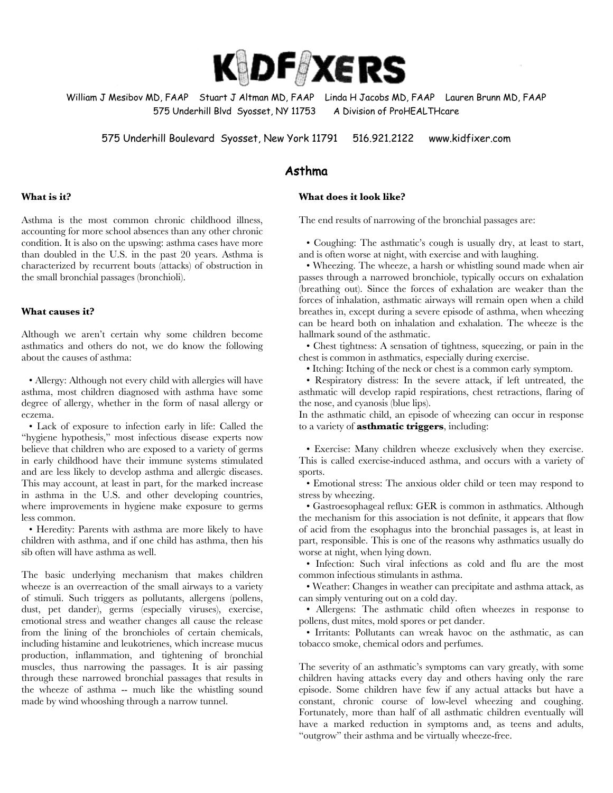

William J Mesibov MD, FAAP Stuart J Altman MD, FAAP Linda H Jacobs MD, FAAP Lauren Brunn MD, FAAP 575 Underhill Blvd Syosset, NY 11753 A Division of ProHEALTHcare

575 Underhill Boulevard Syosset, New York 11791 516.921.2122 www.kidfixer.com

## Asthma

## **What does it look like?**

The end results of narrowing of the bronchial passages are:

Asthma is the most common chronic childhood illness, accounting for more school absences than any other chronic condition. It is also on the upswing: asthma cases have more than doubled in the U.S. in the past 20 years. Asthma is characterized by recurrent bouts (attacks) of obstruction in the small bronchial passages (bronchioli).

## **What causes it?**

**What is it?**

Although we aren't certain why some children become asthmatics and others do not, we do know the following about the causes of asthma:

 • Allergy: Although not every child with allergies will have asthma, most children diagnosed with asthma have some degree of allergy, whether in the form of nasal allergy or eczema.

 • Lack of exposure to infection early in life: Called the "hygiene hypothesis," most infectious disease experts now believe that children who are exposed to a variety of germs in early childhood have their immune systems stimulated and are less likely to develop asthma and allergic diseases. This may account, at least in part, for the marked increase in asthma in the U.S. and other developing countries, where improvements in hygiene make exposure to germs less common.

 • Heredity: Parents with asthma are more likely to have children with asthma, and if one child has asthma, then his sib often will have asthma as well.

The basic underlying mechanism that makes children wheeze is an overreaction of the small airways to a variety of stimuli. Such triggers as pollutants, allergens (pollens, dust, pet dander), germs (especially viruses), exercise, emotional stress and weather changes all cause the release from the lining of the bronchioles of certain chemicals, including histamine and leukotrienes, which increase mucus production, inflammation, and tightening of bronchial muscles, thus narrowing the passages. It is air passing through these narrowed bronchial passages that results in the wheeze of asthma -- much like the whistling sound made by wind whooshing through a narrow tunnel.

 • Coughing: The asthmatic's cough is usually dry, at least to start, and is often worse at night, with exercise and with laughing.

 • Wheezing. The wheeze, a harsh or whistling sound made when air passes through a narrowed bronchiole, typically occurs on exhalation (breathing out). Since the forces of exhalation are weaker than the forces of inhalation, asthmatic airways will remain open when a child breathes in, except during a severe episode of asthma, when wheezing can be heard both on inhalation and exhalation. The wheeze is the hallmark sound of the asthmatic.

 • Chest tightness: A sensation of tightness, squeezing, or pain in the chest is common in asthmatics, especially during exercise.

• Itching: Itching of the neck or chest is a common early symptom.

 • Respiratory distress: In the severe attack, if left untreated, the asthmatic will develop rapid respirations, chest retractions, flaring of the nose, and cyanosis (blue lips).

In the asthmatic child, an episode of wheezing can occur in response to a variety of **asthmatic triggers**, including:

 • Exercise: Many children wheeze exclusively when they exercise. This is called exercise-induced asthma, and occurs with a variety of sports.

 • Emotional stress: The anxious older child or teen may respond to stress by wheezing.

 • Gastroesophageal reflux: GER is common in asthmatics. Although the mechanism for this association is not definite, it appears that flow of acid from the esophagus into the bronchial passages is, at least in part, responsible. This is one of the reasons why asthmatics usually do worse at night, when lying down.

 • Infection: Such viral infections as cold and flu are the most common infectious stimulants in asthma.

 • Weather: Changes in weather can precipitate and asthma attack, as can simply venturing out on a cold day.

 • Allergens: The asthmatic child often wheezes in response to pollens, dust mites, mold spores or pet dander.

 • Irritants: Pollutants can wreak havoc on the asthmatic, as can tobacco smoke, chemical odors and perfumes.

The severity of an asthmatic's symptoms can vary greatly, with some children having attacks every day and others having only the rare episode. Some children have few if any actual attacks but have a constant, chronic course of low-level wheezing and coughing. Fortunately, more than half of all asthmatic children eventually will have a marked reduction in symptoms and, as teens and adults, "outgrow" their asthma and be virtually wheeze-free.